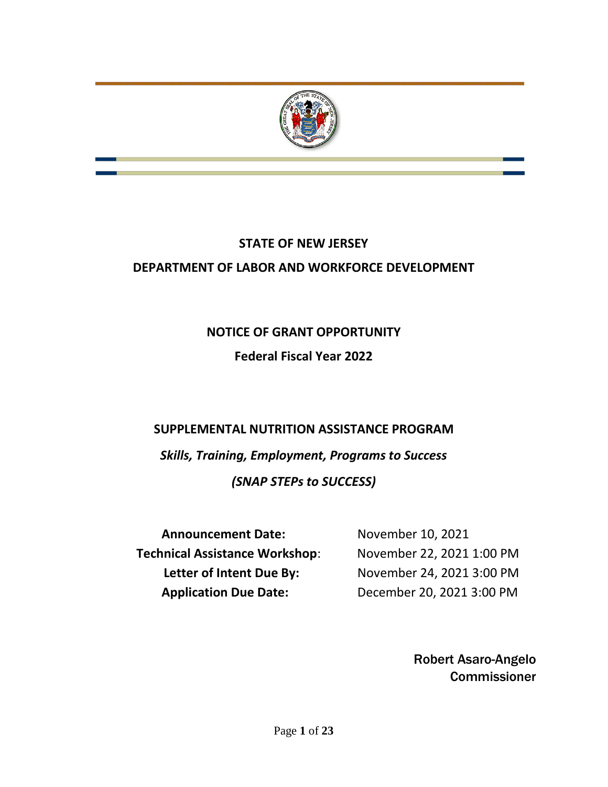

# **STATE OF NEW JERSEY DEPARTMENT OF LABOR AND WORKFORCE DEVELOPMENT**

# **NOTICE OF GRANT OPPORTUNITY Federal Fiscal Year 2022**

## **SUPPLEMENTAL NUTRITION ASSISTANCE PROGRAM**

*Skills, Training, Employment, Programs to Success (SNAP STEPs to SUCCESS)*

| <b>Announcement Date:</b>             | November 10, 2021         |
|---------------------------------------|---------------------------|
| <b>Technical Assistance Workshop:</b> | November 22, 2021 1:00 PM |
| Letter of Intent Due By:              | November 24, 2021 3:00 PM |
| <b>Application Due Date:</b>          | December 20, 2021 3:00 PM |

Robert Asaro-Angelo Commissioner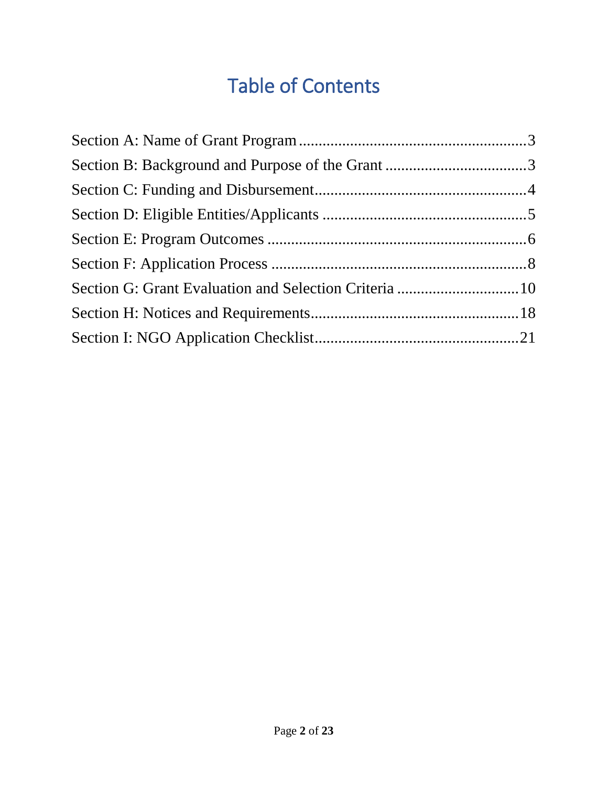# Table of Contents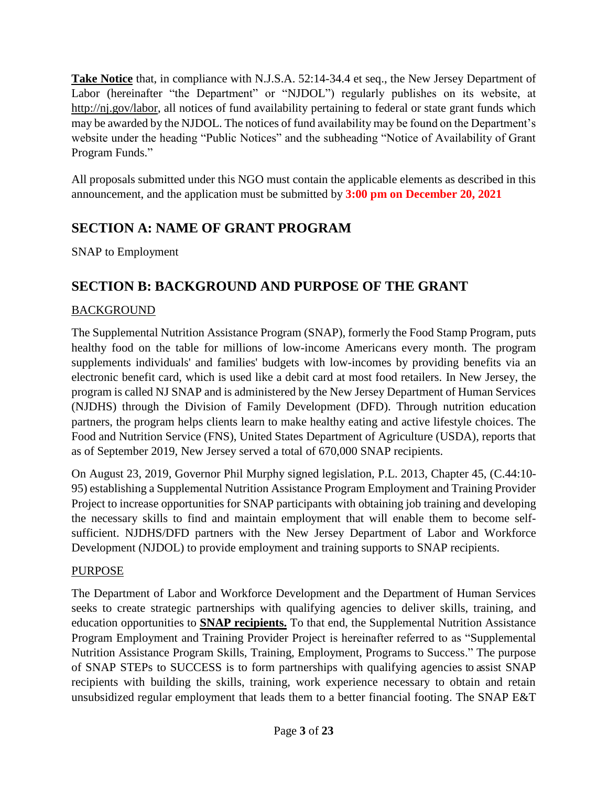**Take Notice** that, in compliance with N.J.S.A. 52:14-34.4 et seq., the New Jersey Department of Labor (hereinafter "the Department" or "NJDOL") regularly publishes on its website, at [http://nj.gov/labor,](http://nj.gov/labor) all notices of fund availability pertaining to federal or state grant funds which may be awarded by the NJDOL. The notices of fund availability may be found on the Department's website under the heading "Public Notices" and the subheading "Notice of Availability of Grant Program Funds."

All proposals submitted under this NGO must contain the applicable elements as described in this announcement, and the application must be submitted by **3:00 pm on December 20, 2021**

## <span id="page-2-0"></span>**SECTION A: NAME OF GRANT PROGRAM**

SNAP to Employment

## <span id="page-2-1"></span>**SECTION B: BACKGROUND AND PURPOSE OF THE GRANT**

#### BACKGROUND

The Supplemental Nutrition Assistance Program (SNAP), formerly the Food Stamp Program, puts healthy food on the table for millions of low-income Americans every month. The program supplements individuals' and families' budgets with low-incomes by providing benefits via an electronic benefit card, which is used like a debit card at most food retailers. In New Jersey, the program is called NJ SNAP and is administered by the New Jersey Department of Human Services (NJDHS) through the Division of Family Development (DFD). Through nutrition education partners, the program helps clients learn to make healthy eating and active lifestyle choices. The Food and Nutrition Service (FNS), United States Department of Agriculture (USDA), reports that as of September 2019, New Jersey served a total of 670,000 SNAP recipients.

On August 23, 2019, Governor Phil Murphy signed legislation, P.L. 2013, Chapter 45, (C.44:10- 95) establishing a Supplemental Nutrition Assistance Program Employment and Training Provider Project to increase opportunities for SNAP participants with obtaining job training and developing the necessary skills to find and maintain employment that will enable them to become selfsufficient. NJDHS/DFD partners with the New Jersey Department of Labor and Workforce Development (NJDOL) to provide employment and training supports to SNAP recipients.

#### PURPOSE

The Department of Labor and Workforce Development and the Department of Human Services seeks to create strategic partnerships with qualifying agencies to deliver skills, training, and education opportunities to **SNAP recipients.** To that end, the Supplemental Nutrition Assistance Program Employment and Training Provider Project is hereinafter referred to as "Supplemental Nutrition Assistance Program Skills, Training, Employment, Programs to Success." The purpose of SNAP STEPs to SUCCESS is to form partnerships with qualifying agencies to assist SNAP recipients with building the skills, training, work experience necessary to obtain and retain unsubsidized regular employment that leads them to a better financial footing. The SNAP E&T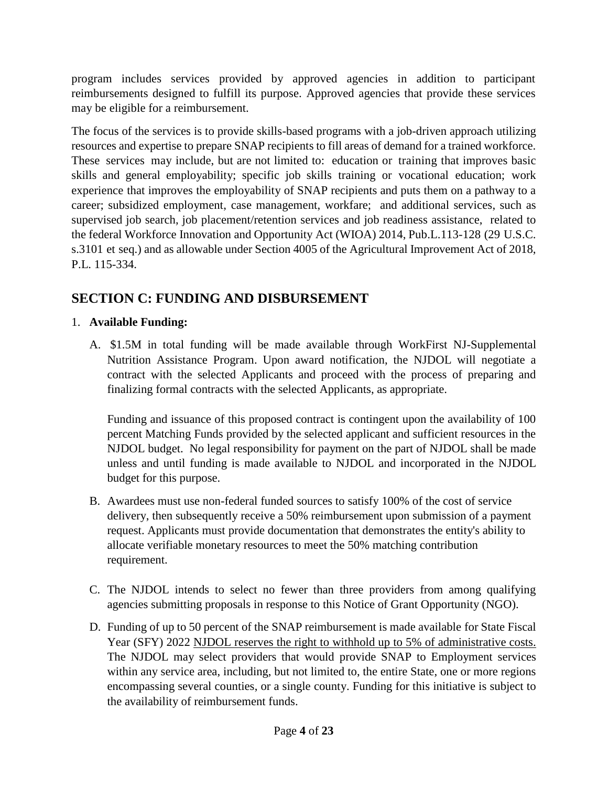program includes services provided by approved agencies in addition to participant reimbursements designed to fulfill its purpose. Approved agencies that provide these services may be eligible for a reimbursement.

The focus of the services is to provide skills-based programs with a job-driven approach utilizing resources and expertise to prepare SNAP recipients to fill areas of demand for a trained workforce. These services may include, but are not limited to: education or training that improves basic skills and general employability; specific job skills training or vocational education; work experience that improves the employability of SNAP recipients and puts them on a pathway to a career; subsidized employment, case management, workfare; and additional services, such as supervised job search, job placement/retention services and job readiness assistance, related to the federal Workforce Innovation and Opportunity Act (WIOA) 2014, Pub.L.113-128 (29 U.S.C. s.3101 et seq.) and as allowable under Section 4005 of the Agricultural Improvement Act of 2018, P.L. 115-334.

## <span id="page-3-0"></span>**SECTION C: FUNDING AND DISBURSEMENT**

#### 1. **Available Funding:**

A. \$1.5M in total funding will be made available through WorkFirst NJ-Supplemental Nutrition Assistance Program. Upon award notification, the NJDOL will negotiate a contract with the selected Applicants and proceed with the process of preparing and finalizing formal contracts with the selected Applicants, as appropriate.

Funding and issuance of this proposed contract is contingent upon the availability of 100 percent Matching Funds provided by the selected applicant and sufficient resources in the NJDOL budget. No legal responsibility for payment on the part of NJDOL shall be made unless and until funding is made available to NJDOL and incorporated in the NJDOL budget for this purpose.

- B. Awardees must use non-federal funded sources to satisfy 100% of the cost of service delivery, then subsequently receive a 50% reimbursement upon submission of a payment request. Applicants must provide documentation that demonstrates the entity's ability to allocate verifiable monetary resources to meet the 50% matching contribution requirement.
- C. The NJDOL intends to select no fewer than three providers from among qualifying agencies submitting proposals in response to this Notice of Grant Opportunity (NGO).
- D. Funding of up to 50 percent of the SNAP reimbursement is made available for State Fiscal Year (SFY) 2022 NJDOL reserves the right to withhold up to 5% of administrative costs. The NJDOL may select providers that would provide SNAP to Employment services within any service area, including, but not limited to, the entire State, one or more regions encompassing several counties, or a single county. Funding for this initiative is subject to the availability of reimbursement funds.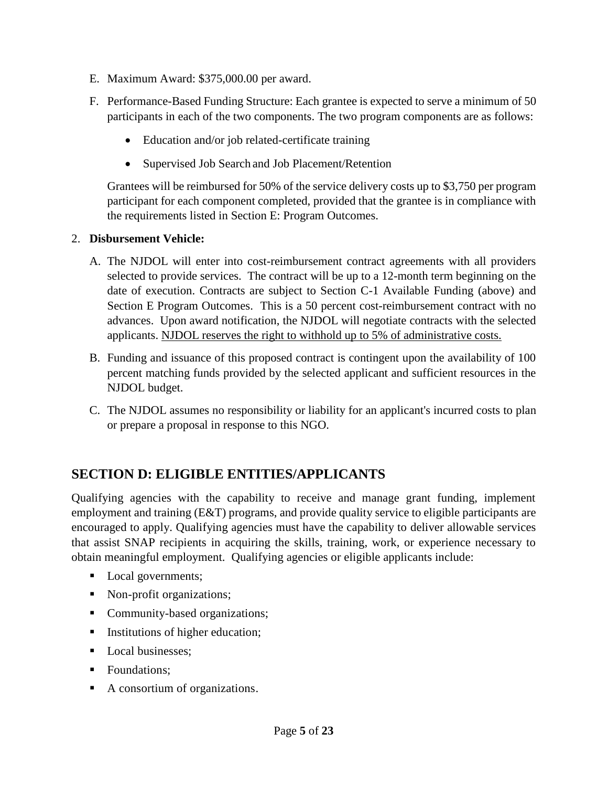- E. Maximum Award: \$375,000.00 per award.
- F. Performance-Based Funding Structure: Each grantee is expected to serve a minimum of 50 participants in each of the two components. The two program components are as follows:
	- Education and/or job related-certificate training
	- Supervised Job Search and Job Placement/Retention

Grantees will be reimbursed for 50% of the service delivery costs up to \$3,750 per program participant for each component completed, provided that the grantee is in compliance with the requirements listed in Section E: Program Outcomes.

#### 2. **Disbursement Vehicle:**

- A. The NJDOL will enter into cost-reimbursement contract agreements with all providers selected to provide services. The contract will be up to a 12-month term beginning on the date of execution. Contracts are subject to Section C-1 Available Funding (above) and Section E Program Outcomes. This is a 50 percent cost-reimbursement contract with no advances. Upon award notification, the NJDOL will negotiate contracts with the selected applicants. NJDOL reserves the right to withhold up to 5% of administrative costs.
- B. Funding and issuance of this proposed contract is contingent upon the availability of 100 percent matching funds provided by the selected applicant and sufficient resources in the NJDOL budget.
- C. The NJDOL assumes no responsibility or liability for an applicant's incurred costs to plan or prepare a proposal in response to this NGO.

## <span id="page-4-0"></span>**SECTION D: ELIGIBLE ENTITIES/APPLICANTS**

Qualifying agencies with the capability to receive and manage grant funding, implement employment and training (E&T) programs, and provide quality service to eligible participants are encouraged to apply. Qualifying agencies must have the capability to deliver allowable services that assist SNAP recipients in acquiring the skills, training, work, or experience necessary to obtain meaningful employment. Qualifying agencies or eligible applicants include:

- Local governments;
- Non-profit organizations;
- Community-based organizations;
- Institutions of higher education;
- Local businesses;
- Foundations:
- A consortium of organizations.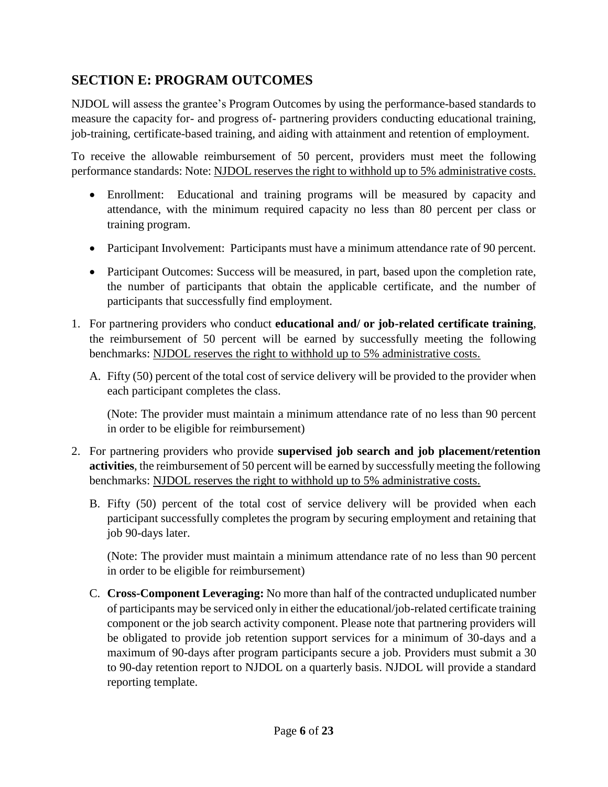## <span id="page-5-0"></span>**SECTION E: PROGRAM OUTCOMES**

NJDOL will assess the grantee's Program Outcomes by using the performance-based standards to measure the capacity for- and progress of- partnering providers conducting educational training, job-training, certificate-based training, and aiding with attainment and retention of employment.

To receive the allowable reimbursement of 50 percent, providers must meet the following performance standards: Note: NJDOL reserves the right to withhold up to 5% administrative costs.

- Enrollment: Educational and training programs will be measured by capacity and attendance, with the minimum required capacity no less than 80 percent per class or training program.
- Participant Involvement: Participants must have a minimum attendance rate of 90 percent.
- Participant Outcomes: Success will be measured, in part, based upon the completion rate, the number of participants that obtain the applicable certificate, and the number of participants that successfully find employment.
- 1. For partnering providers who conduct **educational and/ or job-related certificate training**, the reimbursement of 50 percent will be earned by successfully meeting the following benchmarks: NJDOL reserves the right to withhold up to 5% administrative costs.
	- A. Fifty (50) percent of the total cost of service delivery will be provided to the provider when each participant completes the class.

(Note: The provider must maintain a minimum attendance rate of no less than 90 percent in order to be eligible for reimbursement)

- 2. For partnering providers who provide **supervised job search and job placement/retention activities**, the reimbursement of 50 percent will be earned by successfully meeting the following benchmarks: NJDOL reserves the right to withhold up to 5% administrative costs.
	- B. Fifty (50) percent of the total cost of service delivery will be provided when each participant successfully completes the program by securing employment and retaining that job 90-days later.

(Note: The provider must maintain a minimum attendance rate of no less than 90 percent in order to be eligible for reimbursement)

C. **Cross-Component Leveraging:** No more than half of the contracted unduplicated number of participants may be serviced only in either the educational/job-related certificate training component or the job search activity component. Please note that partnering providers will be obligated to provide job retention support services for a minimum of 30-days and a maximum of 90-days after program participants secure a job. Providers must submit a 30 to 90-day retention report to NJDOL on a quarterly basis. NJDOL will provide a standard reporting template.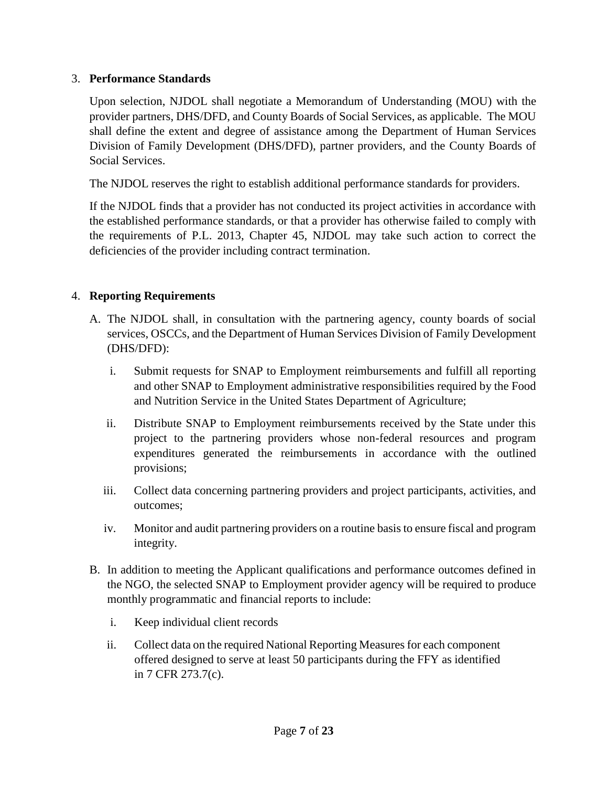#### 3. **Performance Standards**

Upon selection, NJDOL shall negotiate a Memorandum of Understanding (MOU) with the provider partners, DHS/DFD, and County Boards of Social Services, as applicable. The MOU shall define the extent and degree of assistance among the Department of Human Services Division of Family Development (DHS/DFD), partner providers, and the County Boards of Social Services.

The NJDOL reserves the right to establish additional performance standards for providers.

If the NJDOL finds that a provider has not conducted its project activities in accordance with the established performance standards, or that a provider has otherwise failed to comply with the requirements of P.L. 2013, Chapter 45, NJDOL may take such action to correct the deficiencies of the provider including contract termination.

#### 4. **Reporting Requirements**

- A. The NJDOL shall, in consultation with the partnering agency, county boards of social services, OSCCs, and the Department of Human Services Division of Family Development (DHS/DFD):
	- i. Submit requests for SNAP to Employment reimbursements and fulfill all reporting and other SNAP to Employment administrative responsibilities required by the Food and Nutrition Service in the United States Department of Agriculture;
	- ii. Distribute SNAP to Employment reimbursements received by the State under this project to the partnering providers whose non-federal resources and program expenditures generated the reimbursements in accordance with the outlined provisions;
	- iii. Collect data concerning partnering providers and project participants, activities, and outcomes;
	- iv. Monitor and audit partnering providers on a routine basis to ensure fiscal and program integrity.
- B. In addition to meeting the Applicant qualifications and performance outcomes defined in the NGO, the selected SNAP to Employment provider agency will be required to produce monthly programmatic and financial reports to include:
	- i. Keep individual client records
	- ii. Collect data on the required National Reporting Measures for each component offered designed to serve at least 50 participants during the FFY as identified in 7 CFR 273.7(c).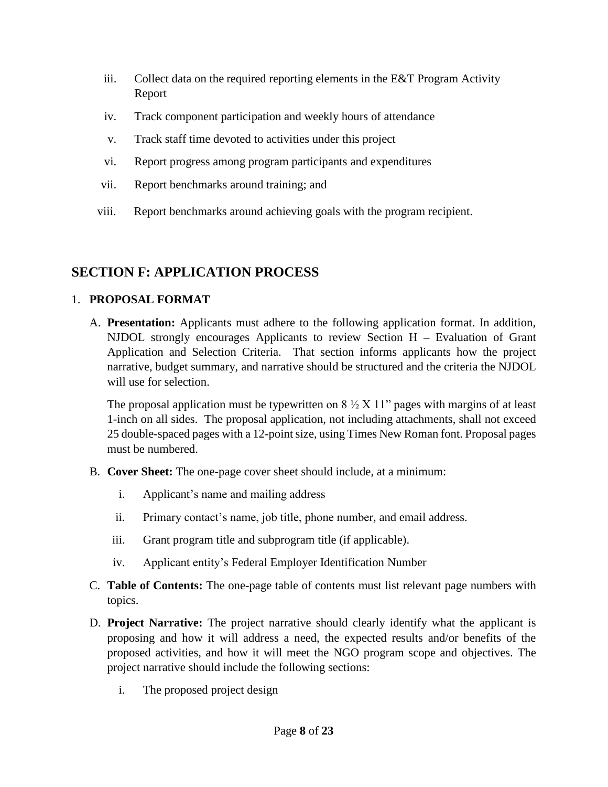- iii. Collect data on the required reporting elements in the E&T Program Activity Report
- iv. Track component participation and weekly hours of attendance
- v. Track staff time devoted to activities under this project
- vi. Report progress among program participants and expenditures
- vii. Report benchmarks around training; and
- viii. Report benchmarks around achieving goals with the program recipient.

## <span id="page-7-0"></span>**SECTION F: APPLICATION PROCESS**

#### 1. **PROPOSAL FORMAT**

A. **Presentation:** Applicants must adhere to the following application format. In addition, NJDOL strongly encourages Applicants to review Section H **–** Evaluation of Grant Application and Selection Criteria. That section informs applicants how the project narrative, budget summary, and narrative should be structured and the criteria the NJDOL will use for selection.

The proposal application must be typewritten on  $8\frac{1}{2}$  X 11" pages with margins of at least 1-inch on all sides. The proposal application, not including attachments, shall not exceed 25 double-spaced pages with a 12-point size, using Times New Roman font. Proposal pages must be numbered.

- B. **Cover Sheet:** The one-page cover sheet should include, at a minimum:
	- i. Applicant's name and mailing address
	- ii. Primary contact's name, job title, phone number, and email address.
	- iii. Grant program title and subprogram title (if applicable).
	- iv. Applicant entity's Federal Employer Identification Number
- C. **Table of Contents:** The one-page table of contents must list relevant page numbers with topics.
- D. **Project Narrative:** The project narrative should clearly identify what the applicant is proposing and how it will address a need, the expected results and/or benefits of the proposed activities, and how it will meet the NGO program scope and objectives. The project narrative should include the following sections:
	- i. The proposed project design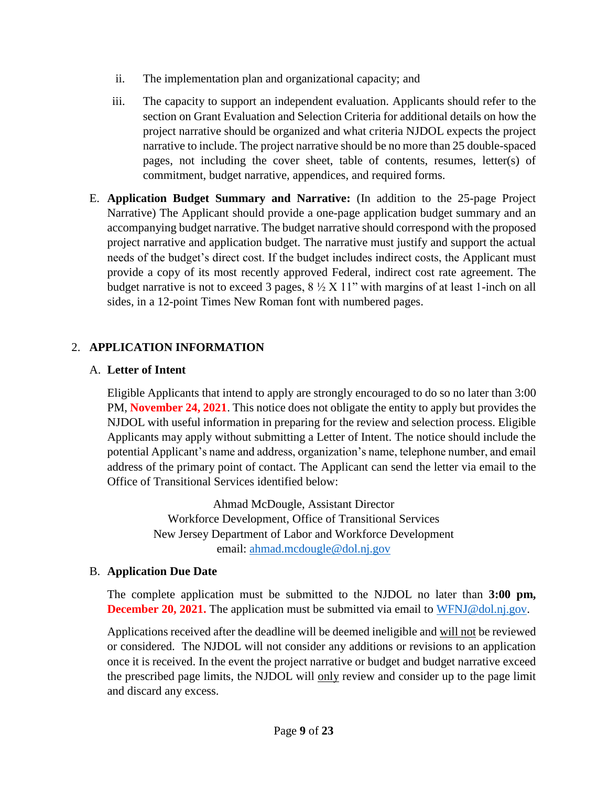- ii. The implementation plan and organizational capacity; and
- iii. The capacity to support an independent evaluation. Applicants should refer to the section on Grant Evaluation and Selection Criteria for additional details on how the project narrative should be organized and what criteria NJDOL expects the project narrative to include. The project narrative should be no more than 25 double-spaced pages, not including the cover sheet, table of contents, resumes, letter(s) of commitment, budget narrative, appendices, and required forms.
- E. **Application Budget Summary and Narrative:** (In addition to the 25-page Project Narrative) The Applicant should provide a one-page application budget summary and an accompanying budget narrative. The budget narrative should correspond with the proposed project narrative and application budget. The narrative must justify and support the actual needs of the budget's direct cost. If the budget includes indirect costs, the Applicant must provide a copy of its most recently approved Federal, indirect cost rate agreement. The budget narrative is not to exceed 3 pages,  $8\frac{1}{2}$  X 11" with margins of at least 1-inch on all sides, in a 12-point Times New Roman font with numbered pages.

#### 2. **APPLICATION INFORMATION**

#### A. **Letter of Intent**

Eligible Applicants that intend to apply are strongly encouraged to do so no later than 3:00 PM, **November 24, 2021**. This notice does not obligate the entity to apply but provides the NJDOL with useful information in preparing for the review and selection process. Eligible Applicants may apply without submitting a Letter of Intent. The notice should include the potential Applicant's name and address, organization's name, telephone number, and email address of the primary point of contact. The Applicant can send the letter via email to the Office of Transitional Services identified below:

> Ahmad McDougle, Assistant Director Workforce Development, Office of Transitional Services New Jersey Department of Labor and Workforce Development email: [ahmad.mcdougle@dol.nj.gov](mailto:ahmad.mcdougle@dol.nj.gov)

#### B. **Application Due Date**

The complete application must be submitted to the NJDOL no later than **3:00 pm, December 20, 2021.** The application must be submitted via email to [WFNJ@dol.nj.gov.](mailto:WFNJ@dol.nj.gov)

Applications received after the deadline will be deemed ineligible and will not be reviewed or considered. The NJDOL will not consider any additions or revisions to an application once it is received. In the event the project narrative or budget and budget narrative exceed the prescribed page limits, the NJDOL will only review and consider up to the page limit and discard any excess.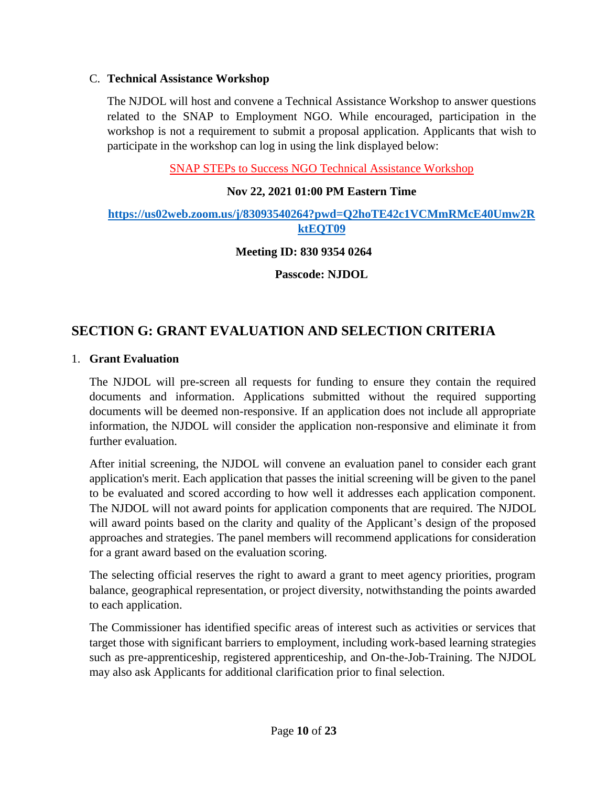#### C. **Technical Assistance Workshop**

The NJDOL will host and convene a Technical Assistance Workshop to answer questions related to the SNAP to Employment NGO. While encouraged, participation in the workshop is not a requirement to submit a proposal application. Applicants that wish to participate in the workshop can log in using the link displayed below:

SNAP STEPs to Success NGO Technical Assistance Workshop

#### **Nov 22, 2021 01:00 PM Eastern Time**

#### **[https://us02web.zoom.us/j/83093540264?pwd=Q2hoTE42c1VCMmRMcE40Umw2R](https://us02web.zoom.us/j/83093540264?pwd=Q2hoTE42c1VCMmRMcE40Umw2RktEQT09) [ktEQT09](https://us02web.zoom.us/j/83093540264?pwd=Q2hoTE42c1VCMmRMcE40Umw2RktEQT09)**

**Meeting ID: 830 9354 0264**

**Passcode: NJDOL**

#### <span id="page-9-0"></span>**SECTION G: GRANT EVALUATION AND SELECTION CRITERIA**

#### 1. **Grant Evaluation**

The NJDOL will pre-screen all requests for funding to ensure they contain the required documents and information. Applications submitted without the required supporting documents will be deemed non-responsive. If an application does not include all appropriate information, the NJDOL will consider the application non-responsive and eliminate it from further evaluation.

After initial screening, the NJDOL will convene an evaluation panel to consider each grant application's merit. Each application that passes the initial screening will be given to the panel to be evaluated and scored according to how well it addresses each application component. The NJDOL will not award points for application components that are required. The NJDOL will award points based on the clarity and quality of the Applicant's design of the proposed approaches and strategies. The panel members will recommend applications for consideration for a grant award based on the evaluation scoring.

The selecting official reserves the right to award a grant to meet agency priorities, program balance, geographical representation, or project diversity, notwithstanding the points awarded to each application.

The Commissioner has identified specific areas of interest such as activities or services that target those with significant barriers to employment, including work-based learning strategies such as pre-apprenticeship, registered apprenticeship, and On-the-Job-Training. The NJDOL may also ask Applicants for additional clarification prior to final selection.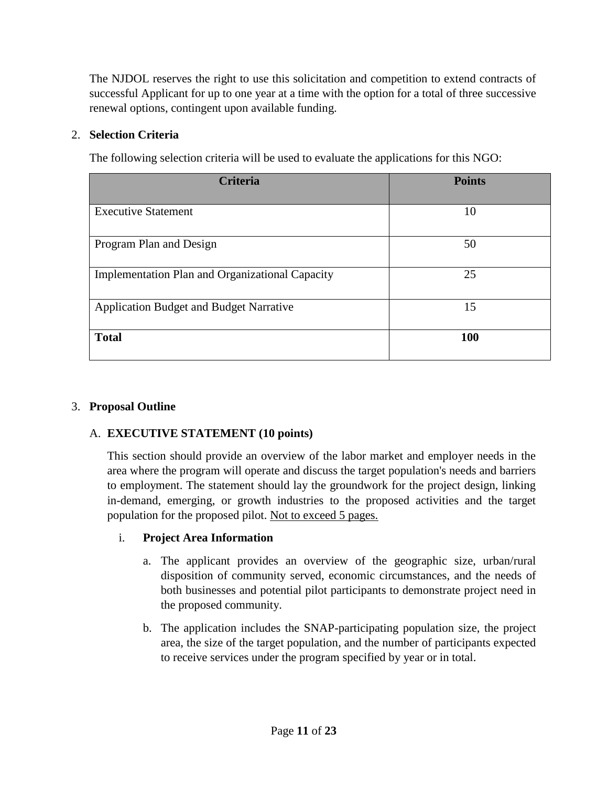The NJDOL reserves the right to use this solicitation and competition to extend contracts of successful Applicant for up to one year at a time with the option for a total of three successive renewal options, contingent upon available funding.

#### 2. **Selection Criteria**

The following selection criteria will be used to evaluate the applications for this NGO:

| <b>Criteria</b>                                 | <b>Points</b> |
|-------------------------------------------------|---------------|
|                                                 |               |
| <b>Executive Statement</b>                      | 10            |
| Program Plan and Design                         | 50            |
| Implementation Plan and Organizational Capacity | 25            |
| <b>Application Budget and Budget Narrative</b>  | 15            |
| <b>Total</b>                                    | 100           |

#### 3. **Proposal Outline**

#### A. **EXECUTIVE STATEMENT (10 points)**

This section should provide an overview of the labor market and employer needs in the area where the program will operate and discuss the target population's needs and barriers to employment. The statement should lay the groundwork for the project design, linking in-demand, emerging, or growth industries to the proposed activities and the target population for the proposed pilot. Not to exceed 5 pages.

#### i. **Project Area Information**

- a. The applicant provides an overview of the geographic size, urban/rural disposition of community served, economic circumstances, and the needs of both businesses and potential pilot participants to demonstrate project need in the proposed community.
- b. The application includes the SNAP-participating population size, the project area, the size of the target population, and the number of participants expected to receive services under the program specified by year or in total.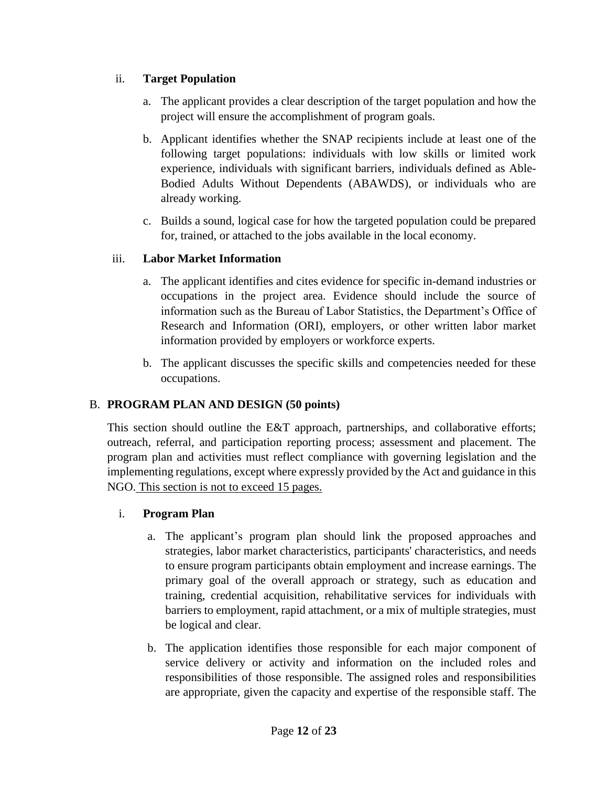#### ii. **Target Population**

- a. The applicant provides a clear description of the target population and how the project will ensure the accomplishment of program goals.
- b. Applicant identifies whether the SNAP recipients include at least one of the following target populations: individuals with low skills or limited work experience, individuals with significant barriers, individuals defined as Able-Bodied Adults Without Dependents (ABAWDS), or individuals who are already working.
- c. Builds a sound, logical case for how the targeted population could be prepared for, trained, or attached to the jobs available in the local economy.

#### iii. **Labor Market Information**

- a. The applicant identifies and cites evidence for specific in-demand industries or occupations in the project area. Evidence should include the source of information such as the Bureau of Labor Statistics, the Department's Office of Research and Information (ORI), employers, or other written labor market information provided by employers or workforce experts.
- b. The applicant discusses the specific skills and competencies needed for these occupations.

#### B. **PROGRAM PLAN AND DESIGN (50 points)**

This section should outline the E&T approach, partnerships, and collaborative efforts; outreach, referral, and participation reporting process; assessment and placement. The program plan and activities must reflect compliance with governing legislation and the implementing regulations, except where expressly provided by the Act and guidance in this NGO. This section is not to exceed 15 pages.

#### i. **Program Plan**

- a. The applicant's program plan should link the proposed approaches and strategies, labor market characteristics, participants' characteristics, and needs to ensure program participants obtain employment and increase earnings. The primary goal of the overall approach or strategy, such as education and training, credential acquisition, rehabilitative services for individuals with barriers to employment, rapid attachment, or a mix of multiple strategies, must be logical and clear.
- b. The application identifies those responsible for each major component of service delivery or activity and information on the included roles and responsibilities of those responsible. The assigned roles and responsibilities are appropriate, given the capacity and expertise of the responsible staff. The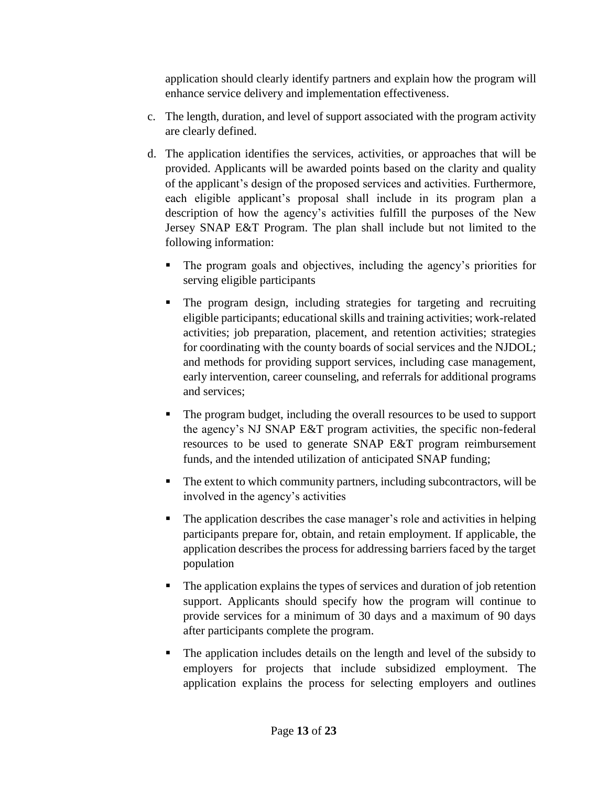application should clearly identify partners and explain how the program will enhance service delivery and implementation effectiveness.

- c. The length, duration, and level of support associated with the program activity are clearly defined.
- d. The application identifies the services, activities, or approaches that will be provided. Applicants will be awarded points based on the clarity and quality of the applicant's design of the proposed services and activities. Furthermore, each eligible applicant's proposal shall include in its program plan a description of how the agency's activities fulfill the purposes of the New Jersey SNAP E&T Program. The plan shall include but not limited to the following information:
	- The program goals and objectives, including the agency's priorities for serving eligible participants
	- The program design, including strategies for targeting and recruiting eligible participants; educational skills and training activities; work-related activities; job preparation, placement, and retention activities; strategies for coordinating with the county boards of social services and the NJDOL; and methods for providing support services, including case management, early intervention, career counseling, and referrals for additional programs and services;
	- The program budget, including the overall resources to be used to support the agency's NJ SNAP E&T program activities, the specific non-federal resources to be used to generate SNAP E&T program reimbursement funds, and the intended utilization of anticipated SNAP funding;
	- The extent to which community partners, including subcontractors, will be involved in the agency's activities
	- The application describes the case manager's role and activities in helping participants prepare for, obtain, and retain employment. If applicable, the application describes the process for addressing barriers faced by the target population
	- The application explains the types of services and duration of job retention support. Applicants should specify how the program will continue to provide services for a minimum of 30 days and a maximum of 90 days after participants complete the program.
	- The application includes details on the length and level of the subsidy to employers for projects that include subsidized employment. The application explains the process for selecting employers and outlines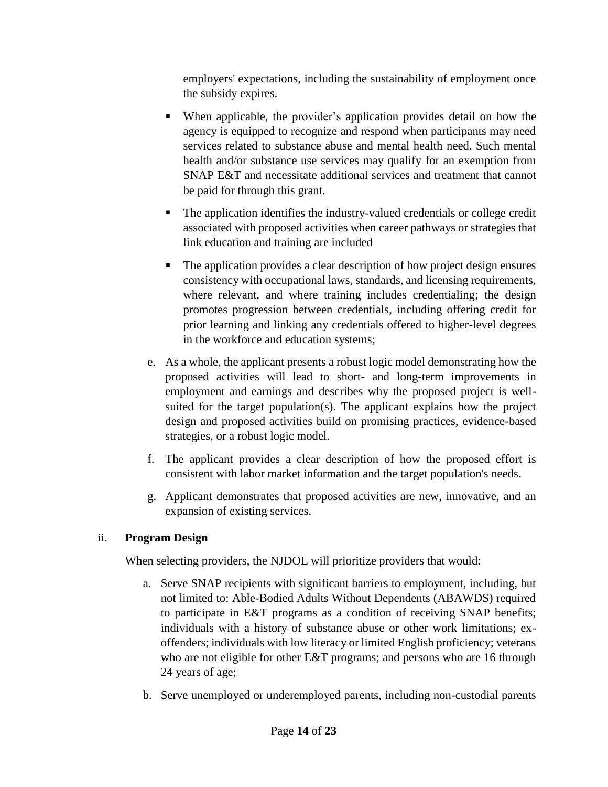employers' expectations, including the sustainability of employment once the subsidy expires.

- When applicable, the provider's application provides detail on how the agency is equipped to recognize and respond when participants may need services related to substance abuse and mental health need. Such mental health and/or substance use services may qualify for an exemption from SNAP E&T and necessitate additional services and treatment that cannot be paid for through this grant.
- The application identifies the industry-valued credentials or college credit associated with proposed activities when career pathways or strategies that link education and training are included
- The application provides a clear description of how project design ensures consistency with occupational laws, standards, and licensing requirements, where relevant, and where training includes credentialing; the design promotes progression between credentials, including offering credit for prior learning and linking any credentials offered to higher-level degrees in the workforce and education systems;
- e. As a whole, the applicant presents a robust logic model demonstrating how the proposed activities will lead to short- and long-term improvements in employment and earnings and describes why the proposed project is wellsuited for the target population(s). The applicant explains how the project design and proposed activities build on promising practices, evidence-based strategies, or a robust logic model.
- f. The applicant provides a clear description of how the proposed effort is consistent with labor market information and the target population's needs.
- g. Applicant demonstrates that proposed activities are new, innovative, and an expansion of existing services.

#### ii. **Program Design**

When selecting providers, the NJDOL will prioritize providers that would:

- a. Serve SNAP recipients with significant barriers to employment, including, but not limited to: Able-Bodied Adults Without Dependents (ABAWDS) required to participate in E&T programs as a condition of receiving SNAP benefits; individuals with a history of substance abuse or other work limitations; exoffenders; individuals with low literacy or limited English proficiency; veterans who are not eligible for other E&T programs; and persons who are 16 through 24 years of age;
- b. Serve unemployed or underemployed parents, including non-custodial parents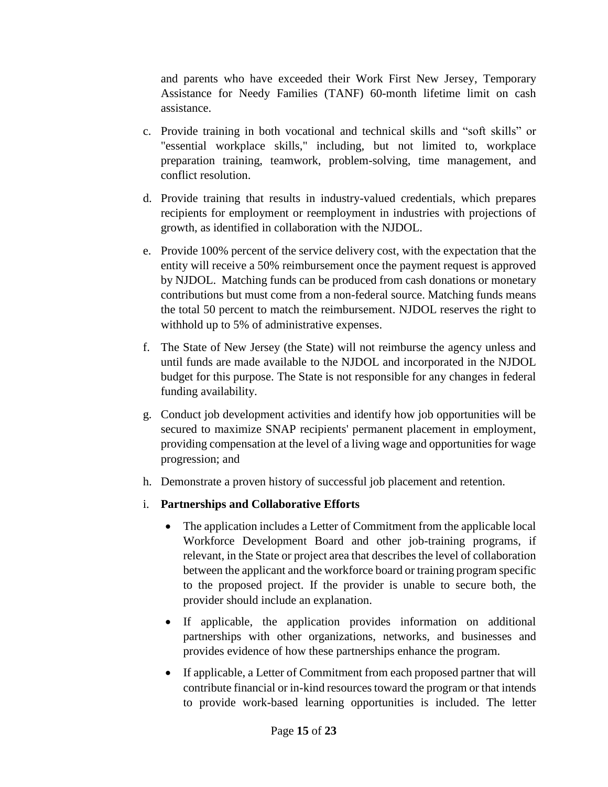and parents who have exceeded their Work First New Jersey, Temporary Assistance for Needy Families (TANF) 60-month lifetime limit on cash assistance.

- c. Provide training in both vocational and technical skills and "soft skills" or "essential workplace skills," including, but not limited to, workplace preparation training, teamwork, problem-solving, time management, and conflict resolution.
- d. Provide training that results in industry-valued credentials, which prepares recipients for employment or reemployment in industries with projections of growth, as identified in collaboration with the NJDOL.
- e. Provide 100% percent of the service delivery cost, with the expectation that the entity will receive a 50% reimbursement once the payment request is approved by NJDOL. Matching funds can be produced from cash donations or monetary contributions but must come from a non-federal source. Matching funds means the total 50 percent to match the reimbursement. NJDOL reserves the right to withhold up to 5% of administrative expenses.
- f. The State of New Jersey (the State) will not reimburse the agency unless and until funds are made available to the NJDOL and incorporated in the NJDOL budget for this purpose. The State is not responsible for any changes in federal funding availability.
- g. Conduct job development activities and identify how job opportunities will be secured to maximize SNAP recipients' permanent placement in employment, providing compensation at the level of a living wage and opportunities for wage progression; and
- h. Demonstrate a proven history of successful job placement and retention.
- i. **Partnerships and Collaborative Efforts** 
	- The application includes a Letter of Commitment from the applicable local Workforce Development Board and other job-training programs, if relevant, in the State or project area that describes the level of collaboration between the applicant and the workforce board or training program specific to the proposed project. If the provider is unable to secure both, the provider should include an explanation.
	- If applicable, the application provides information on additional partnerships with other organizations, networks, and businesses and provides evidence of how these partnerships enhance the program.
	- If applicable, a Letter of Commitment from each proposed partner that will contribute financial or in-kind resources toward the program or that intends to provide work-based learning opportunities is included. The letter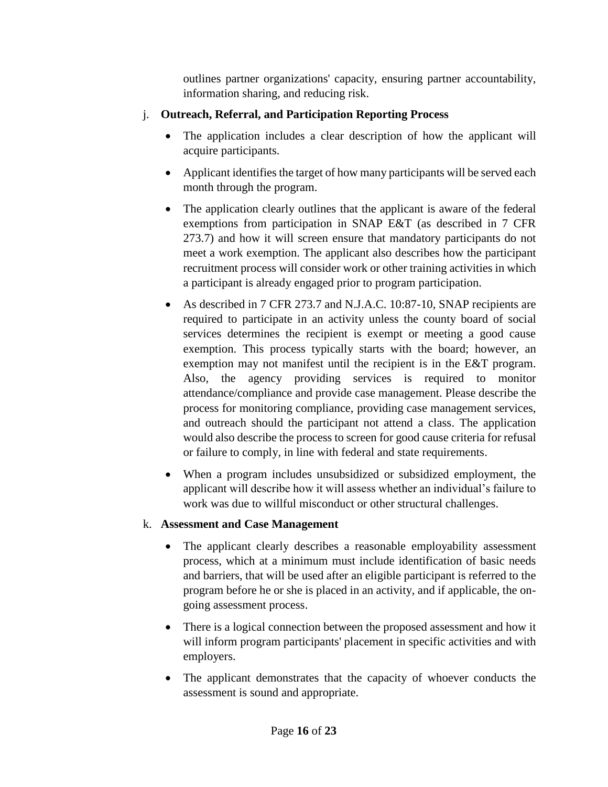outlines partner organizations' capacity, ensuring partner accountability, information sharing, and reducing risk.

#### j. **Outreach, Referral, and Participation Reporting Process**

- The application includes a clear description of how the applicant will acquire participants.
- Applicant identifies the target of how many participants will be served each month through the program.
- The application clearly outlines that the applicant is aware of the federal exemptions from participation in SNAP E&T (as described in 7 CFR 273.7) and how it will screen ensure that mandatory participants do not meet a work exemption. The applicant also describes how the participant recruitment process will consider work or other training activities in which a participant is already engaged prior to program participation.
- As described in 7 CFR 273.7 and N.J.A.C. 10:87-10, SNAP recipients are required to participate in an activity unless the county board of social services determines the recipient is exempt or meeting a good cause exemption. This process typically starts with the board; however, an exemption may not manifest until the recipient is in the E&T program. Also, the agency providing services is required to monitor attendance/compliance and provide case management. Please describe the process for monitoring compliance, providing case management services, and outreach should the participant not attend a class. The application would also describe the process to screen for good cause criteria for refusal or failure to comply, in line with federal and state requirements.
- When a program includes unsubsidized or subsidized employment, the applicant will describe how it will assess whether an individual's failure to work was due to willful misconduct or other structural challenges.

#### k. **Assessment and Case Management**

- The applicant clearly describes a reasonable employability assessment process, which at a minimum must include identification of basic needs and barriers, that will be used after an eligible participant is referred to the program before he or she is placed in an activity, and if applicable, the ongoing assessment process.
- There is a logical connection between the proposed assessment and how it will inform program participants' placement in specific activities and with employers.
- The applicant demonstrates that the capacity of whoever conducts the assessment is sound and appropriate.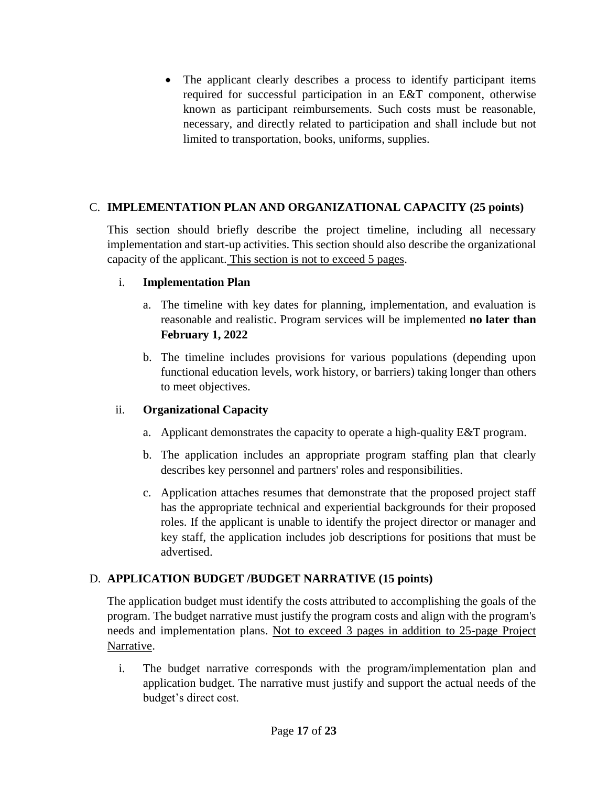• The applicant clearly describes a process to identify participant items required for successful participation in an E&T component, otherwise known as participant reimbursements. Such costs must be reasonable, necessary, and directly related to participation and shall include but not limited to transportation, books, uniforms, supplies.

#### C. **IMPLEMENTATION PLAN AND ORGANIZATIONAL CAPACITY (25 points)**

This section should briefly describe the project timeline, including all necessary implementation and start-up activities. This section should also describe the organizational capacity of the applicant. This section is not to exceed 5 pages.

#### i. **Implementation Plan**

- a. The timeline with key dates for planning, implementation, and evaluation is reasonable and realistic. Program services will be implemented **no later than February 1, 2022**
- b. The timeline includes provisions for various populations (depending upon functional education levels, work history, or barriers) taking longer than others to meet objectives.

#### ii. **Organizational Capacity**

- a. Applicant demonstrates the capacity to operate a high-quality E&T program.
- b. The application includes an appropriate program staffing plan that clearly describes key personnel and partners' roles and responsibilities.
- c. Application attaches resumes that demonstrate that the proposed project staff has the appropriate technical and experiential backgrounds for their proposed roles. If the applicant is unable to identify the project director or manager and key staff, the application includes job descriptions for positions that must be advertised.

#### D. **APPLICATION BUDGET /BUDGET NARRATIVE (15 points)**

The application budget must identify the costs attributed to accomplishing the goals of the program. The budget narrative must justify the program costs and align with the program's needs and implementation plans. Not to exceed 3 pages in addition to 25-page Project Narrative.

i. The budget narrative corresponds with the program/implementation plan and application budget. The narrative must justify and support the actual needs of the budget's direct cost.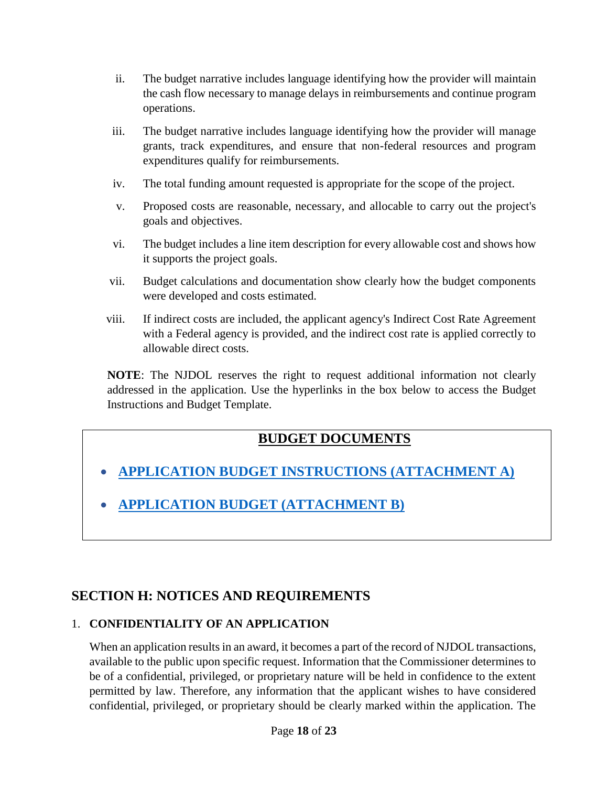- ii. The budget narrative includes language identifying how the provider will maintain the cash flow necessary to manage delays in reimbursements and continue program operations.
- iii. The budget narrative includes language identifying how the provider will manage grants, track expenditures, and ensure that non-federal resources and program expenditures qualify for reimbursements.
- iv. The total funding amount requested is appropriate for the scope of the project.
- v. Proposed costs are reasonable, necessary, and allocable to carry out the project's goals and objectives.
- vi. The budget includes a line item description for every allowable cost and shows how it supports the project goals.
- vii. Budget calculations and documentation show clearly how the budget components were developed and costs estimated.
- viii. If indirect costs are included, the applicant agency's Indirect Cost Rate Agreement with a Federal agency is provided, and the indirect cost rate is applied correctly to allowable direct costs.

**NOTE**: The NJDOL reserves the right to request additional information not clearly addressed in the application. Use the hyperlinks in the box below to access the Budget Instructions and Budget Template.

## **BUDGET DOCUMENTS**

- **[APPLICATION BUDGET INSTRUCTIONS \(ATTACHMENT A\)](http://www.nj.gov/labor/wioa/documents/NGO/Workforce_Training/SNAP%20NGO%20Attachment%20A%20-%20Application%20Budget%20Instructions.docx)**
- **[APPLICATION BUDGET \(ATTACHMENT B\)](http://www.nj.gov/labor/wioa/documents/NGO/Workforce_Training/SNAP%20NGO-Attachment%20B%20-Application%20Budget.xlscjm.xlsx)**

## <span id="page-17-0"></span>**SECTION H: NOTICES AND REQUIREMENTS**

#### 1. **CONFIDENTIALITY OF AN APPLICATION**

When an application results in an award, it becomes a part of the record of NJDOL transactions, available to the public upon specific request. Information that the Commissioner determines to be of a confidential, privileged, or proprietary nature will be held in confidence to the extent permitted by law. Therefore, any information that the applicant wishes to have considered confidential, privileged, or proprietary should be clearly marked within the application. The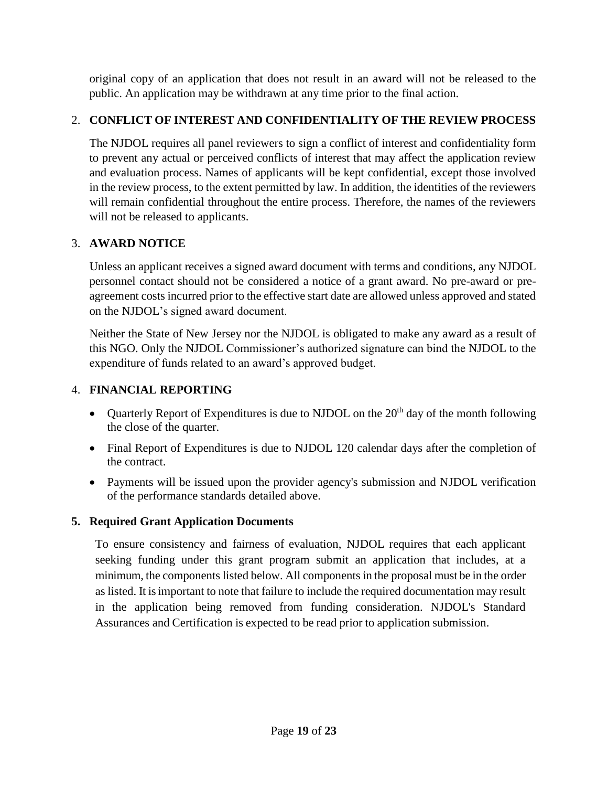original copy of an application that does not result in an award will not be released to the public. An application may be withdrawn at any time prior to the final action.

## 2. **CONFLICT OF INTEREST AND CONFIDENTIALITY OF THE REVIEW PROCESS**

The NJDOL requires all panel reviewers to sign a conflict of interest and confidentiality form to prevent any actual or perceived conflicts of interest that may affect the application review and evaluation process. Names of applicants will be kept confidential, except those involved in the review process, to the extent permitted by law. In addition, the identities of the reviewers will remain confidential throughout the entire process. Therefore, the names of the reviewers will not be released to applicants.

#### 3. **AWARD NOTICE**

Unless an applicant receives a signed award document with terms and conditions, any NJDOL personnel contact should not be considered a notice of a grant award. No pre-award or preagreement costs incurred prior to the effective start date are allowed unless approved and stated on the NJDOL's signed award document.

Neither the State of New Jersey nor the NJDOL is obligated to make any award as a result of this NGO. Only the NJDOL Commissioner's authorized signature can bind the NJDOL to the expenditure of funds related to an award's approved budget.

## 4. **FINANCIAL REPORTING**

- Quarterly Report of Expenditures is due to NJDOL on the  $20<sup>th</sup>$  day of the month following the close of the quarter.
- Final Report of Expenditures is due to NJDOL 120 calendar days after the completion of the contract.
- Payments will be issued upon the provider agency's submission and NJDOL verification of the performance standards detailed above.

#### **5. Required Grant Application Documents**

To ensure consistency and fairness of evaluation, NJDOL requires that each applicant seeking funding under this grant program submit an application that includes, at a minimum, the components listed below. All components in the proposal must be in the order as listed. It is important to note that failure to include the required documentation may result in the application being removed from funding consideration. NJDOL's Standard Assurances and Certification is expected to be read prior to application submission.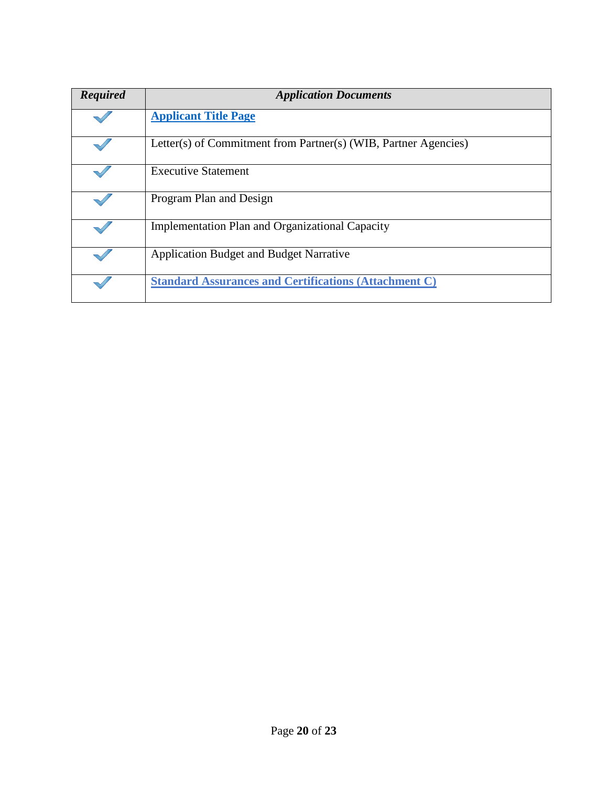| <b>Required</b> | <b>Application Documents</b>                                    |
|-----------------|-----------------------------------------------------------------|
|                 | <b>Applicant Title Page</b>                                     |
|                 | Letter(s) of Commitment from Partner(s) (WIB, Partner Agencies) |
|                 | <b>Executive Statement</b>                                      |
|                 | Program Plan and Design                                         |
|                 | <b>Implementation Plan and Organizational Capacity</b>          |
|                 | <b>Application Budget and Budget Narrative</b>                  |
|                 | <b>Standard Assurances and Certifications (Attachment C)</b>    |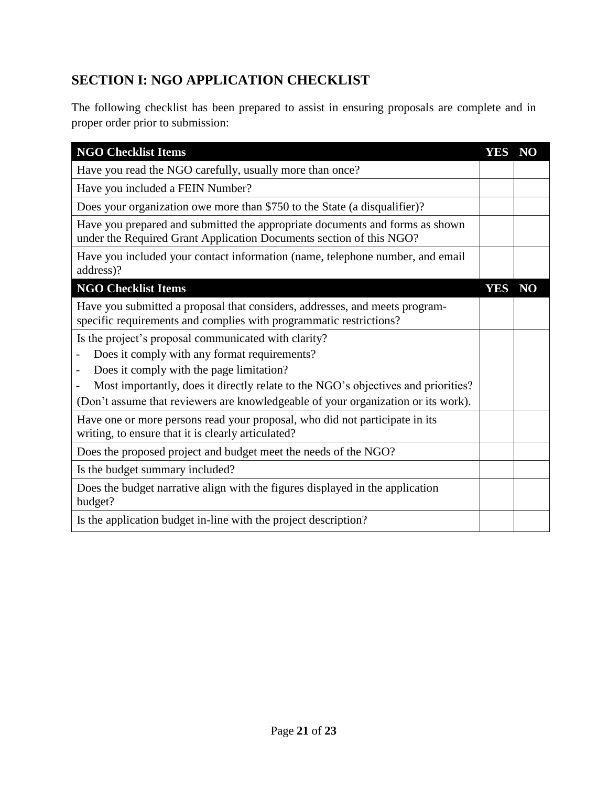## <span id="page-20-0"></span>**SECTION I: NGO APPLICATION CHECKLIST**

The following checklist has been prepared to assist in ensuring proposals are complete and in proper order prior to submission:

| <b>NGO Checklist Items</b>                                                                                                                          | <b>YES</b> | N <sub>O</sub> |
|-----------------------------------------------------------------------------------------------------------------------------------------------------|------------|----------------|
| Have you read the NGO carefully, usually more than once?                                                                                            |            |                |
| Have you included a FEIN Number?                                                                                                                    |            |                |
| Does your organization owe more than \$750 to the State (a disqualifier)?                                                                           |            |                |
| Have you prepared and submitted the appropriate documents and forms as shown<br>under the Required Grant Application Documents section of this NGO? |            |                |
| Have you included your contact information (name, telephone number, and email<br>address)?                                                          |            |                |
| <b>NGO Checklist Items</b>                                                                                                                          | <b>YES</b> | NO             |
| Have you submitted a proposal that considers, addresses, and meets program-<br>specific requirements and complies with programmatic restrictions?   |            |                |
| Is the project's proposal communicated with clarity?                                                                                                |            |                |
| Does it comply with any format requirements?                                                                                                        |            |                |
| Does it comply with the page limitation?                                                                                                            |            |                |
| Most importantly, does it directly relate to the NGO's objectives and priorities?                                                                   |            |                |
| (Don't assume that reviewers are knowledgeable of your organization or its work).                                                                   |            |                |
| Have one or more persons read your proposal, who did not participate in its<br>writing, to ensure that it is clearly articulated?                   |            |                |
| Does the proposed project and budget meet the needs of the NGO?                                                                                     |            |                |
| Is the budget summary included?                                                                                                                     |            |                |
| Does the budget narrative align with the figures displayed in the application<br>budget?                                                            |            |                |
| Is the application budget in-line with the project description?                                                                                     |            |                |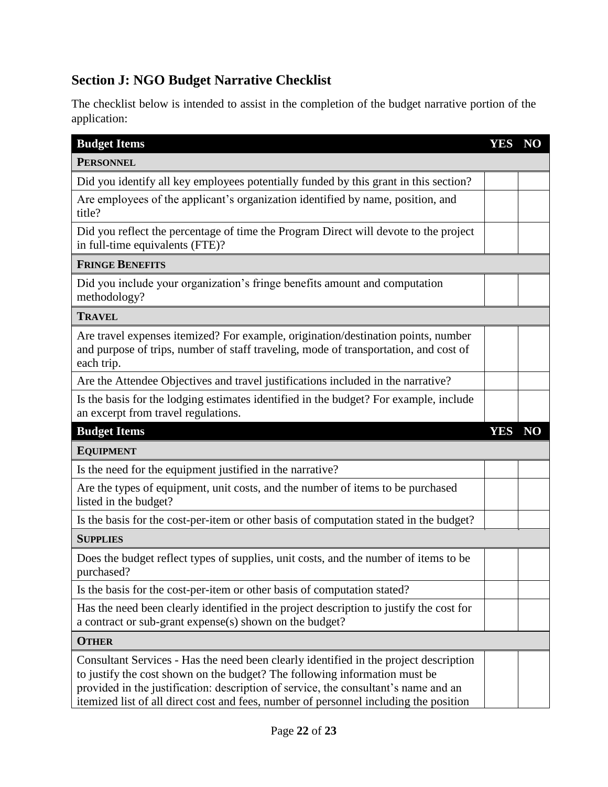## **Section J: NGO Budget Narrative Checklist**

The checklist below is intended to assist in the completion of the budget narrative portion of the application:

| <b>Budget Items</b>                                                                                                                                                                                                                                                                                                                                 | <b>YES</b> | <b>NO</b>      |
|-----------------------------------------------------------------------------------------------------------------------------------------------------------------------------------------------------------------------------------------------------------------------------------------------------------------------------------------------------|------------|----------------|
| <b>PERSONNEL</b>                                                                                                                                                                                                                                                                                                                                    |            |                |
| Did you identify all key employees potentially funded by this grant in this section?                                                                                                                                                                                                                                                                |            |                |
| Are employees of the applicant's organization identified by name, position, and<br>title?                                                                                                                                                                                                                                                           |            |                |
| Did you reflect the percentage of time the Program Direct will devote to the project<br>in full-time equivalents (FTE)?                                                                                                                                                                                                                             |            |                |
| <b>FRINGE BENEFITS</b>                                                                                                                                                                                                                                                                                                                              |            |                |
| Did you include your organization's fringe benefits amount and computation<br>methodology?                                                                                                                                                                                                                                                          |            |                |
| <b>TRAVEL</b>                                                                                                                                                                                                                                                                                                                                       |            |                |
| Are travel expenses itemized? For example, origination/destination points, number<br>and purpose of trips, number of staff traveling, mode of transportation, and cost of<br>each trip.                                                                                                                                                             |            |                |
| Are the Attendee Objectives and travel justifications included in the narrative?                                                                                                                                                                                                                                                                    |            |                |
| Is the basis for the lodging estimates identified in the budget? For example, include<br>an excerpt from travel regulations.                                                                                                                                                                                                                        |            |                |
| <b>Budget Items</b>                                                                                                                                                                                                                                                                                                                                 | <b>YES</b> | N <sub>O</sub> |
| <b>EQUIPMENT</b>                                                                                                                                                                                                                                                                                                                                    |            |                |
| Is the need for the equipment justified in the narrative?                                                                                                                                                                                                                                                                                           |            |                |
| Are the types of equipment, unit costs, and the number of items to be purchased<br>listed in the budget?                                                                                                                                                                                                                                            |            |                |
| Is the basis for the cost-per-item or other basis of computation stated in the budget?                                                                                                                                                                                                                                                              |            |                |
| <b>SUPPLIES</b>                                                                                                                                                                                                                                                                                                                                     |            |                |
| Does the budget reflect types of supplies, unit costs, and the number of items to be<br>purchased?                                                                                                                                                                                                                                                  |            |                |
| Is the basis for the cost-per-item or other basis of computation stated?                                                                                                                                                                                                                                                                            |            |                |
| Has the need been clearly identified in the project description to justify the cost for<br>a contract or sub-grant expense(s) shown on the budget?                                                                                                                                                                                                  |            |                |
| <b>OTHER</b>                                                                                                                                                                                                                                                                                                                                        |            |                |
| Consultant Services - Has the need been clearly identified in the project description<br>to justify the cost shown on the budget? The following information must be<br>provided in the justification: description of service, the consultant's name and an<br>itemized list of all direct cost and fees, number of personnel including the position |            |                |